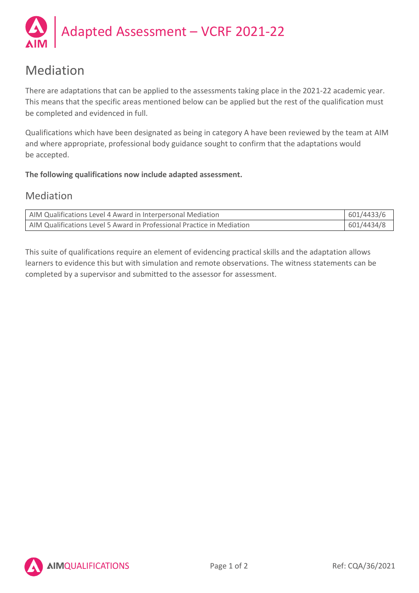

# Mediation

There are adaptations that can be applied to the assessments taking place in the 2021-22 academic year. This means that the specific areas mentioned below can be applied but the rest of the qualification must be completed and evidenced in full.

Qualifications which have been designated as being in category A have been reviewed by the team at AIM and where appropriate, professional body guidance sought to confirm that the adaptations would be accepted.

### **The following qualifications now include adapted assessment.**

## Mediation

| AIM Qualifications Level 4 Award in Interpersonal Mediation            | 601/4433/6 |
|------------------------------------------------------------------------|------------|
| AIM Qualifications Level 5 Award in Professional Practice in Mediation | 601/4434/8 |

This suite of qualifications require an element of evidencing practical skills and the adaptation allows learners to evidence this but with simulation and remote observations. The witness statements can be completed by a supervisor and submitted to the assessor for assessment.